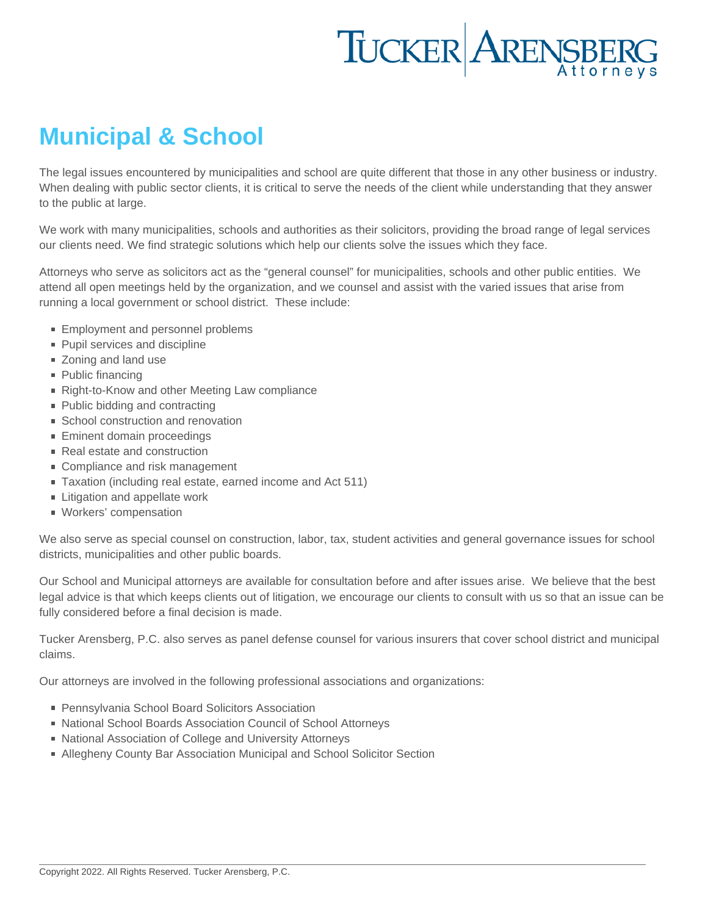## Municipal & School

The legal issues encountered by municipalities and school are quite different that those in any other business or industry. When dealing with public sector clients, it is critical to serve the needs of the client while understanding that they answer to the public at large.

We work with many municipalities, schools and authorities as their solicitors, providing the broad range of legal services our clients need. We find strategic solutions which help our clients solve the issues which they face.

Attorneys who serve as solicitors act as the "general counsel" for municipalities, schools and other public entities. We attend all open meetings held by the organization, and we counsel and assist with the varied issues that arise from running a local government or school district. These include:

- **[Employment and personnel problems](http://www.tuckerlaw.com/practice-area/labor-employment-law/)**
- **Pupil services and discipline**
- [Zoning and land use](http://www.tuckerlaw.com/practice-area/zoning-land-use/)
- [Public financing](http://www.tuckerlaw.com/practice-area/bond-counsel/)
- Right-to-Know and other Meeting Law compliance
- **Public bidding and contracting**
- **School [construction](http://www.tuckerlaw.com/practice-area/construction/) and renovation**
- **Eminent domain proceedings**
- [Real estate a](http://www.tuckerlaw.com/practice-area/real-estate-2/)nd construction
- [Compliance and risk management](http://www.tuckerlaw.com/practice-area/compliance-risk-management/)
- Taxation (including real estate, earned income and Act 511)
- **Example 1** [Litigation](http://www.tuckerlaw.com/practice-area/commercial-litigation/) and appellate work
- **[Workers' compensation](http://www.tuckerlaw.com/practice-area/workers-compensation/)**

We also serve as special counsel on construction, labor, tax, student activities and general governance issues for school districts, municipalities and other public boards.

Our School and Municipal attorneys are available for consultation before and after issues arise. We believe that the best legal advice is that which keeps clients out of litigation, we encourage our clients to consult with us so that an issue can be fully considered before a final decision is made.

Tucker Arensberg, P.C. also serves as panel defense counsel for various insurers that cover school district and municipal claims.

Our attorneys are involved in the following professional associations and organizations:

- **Pennsylvania School Board Solicitors Association**
- National School Boards Association Council of School Attorneys
- National Association of College and University Attorneys
- Allegheny County Bar Association Municipal and School Solicitor Section